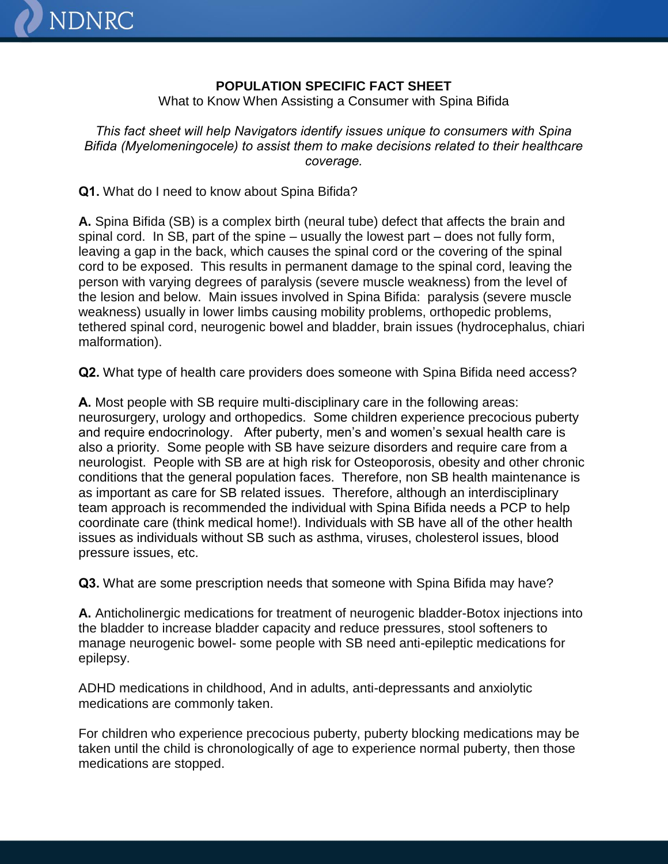## **POPULATION SPECIFIC FACT SHEET**

What to Know When Assisting a Consumer with Spina Bifida

*This fact sheet will help Navigators identify issues unique to consumers with Spina Bifida (Myelomeningocele) to assist them to make decisions related to their healthcare coverage.*

**Q1.** What do I need to know about Spina Bifida?

**NDNRC** 

**A.** Spina Bifida (SB) is a complex birth (neural tube) defect that affects the brain and spinal cord. In SB, part of the spine – usually the lowest part – does not fully form, leaving a gap in the back, which causes the spinal cord or the covering of the spinal cord to be exposed. This results in permanent damage to the spinal cord, leaving the person with varying degrees of paralysis (severe muscle weakness) from the level of the lesion and below. Main issues involved in Spina Bifida: paralysis (severe muscle weakness) usually in lower limbs causing mobility problems, orthopedic problems, tethered spinal cord, neurogenic bowel and bladder, brain issues (hydrocephalus, chiari malformation).

**Q2.** What type of health care providers does someone with Spina Bifida need access?

**A.** Most people with SB require multi-disciplinary care in the following areas: neurosurgery, urology and orthopedics. Some children experience precocious puberty and require endocrinology. After puberty, men's and women's sexual health care is also a priority. Some people with SB have seizure disorders and require care from a neurologist. People with SB are at high risk for Osteoporosis, obesity and other chronic conditions that the general population faces. Therefore, non SB health maintenance is as important as care for SB related issues. Therefore, although an interdisciplinary team approach is recommended the individual with Spina Bifida needs a PCP to help coordinate care (think medical home!). Individuals with SB have all of the other health issues as individuals without SB such as asthma, viruses, cholesterol issues, blood pressure issues, etc.

**Q3.** What are some prescription needs that someone with Spina Bifida may have?

**A.** Anticholinergic medications for treatment of neurogenic bladder-Botox injections into the bladder to increase bladder capacity and reduce pressures, stool softeners to manage neurogenic bowel- some people with SB need anti-epileptic medications for epilepsy.

ADHD medications in childhood, And in adults, anti-depressants and anxiolytic medications are commonly taken.

For children who experience precocious puberty, puberty blocking medications may be taken until the child is chronologically of age to experience normal puberty, then those medications are stopped.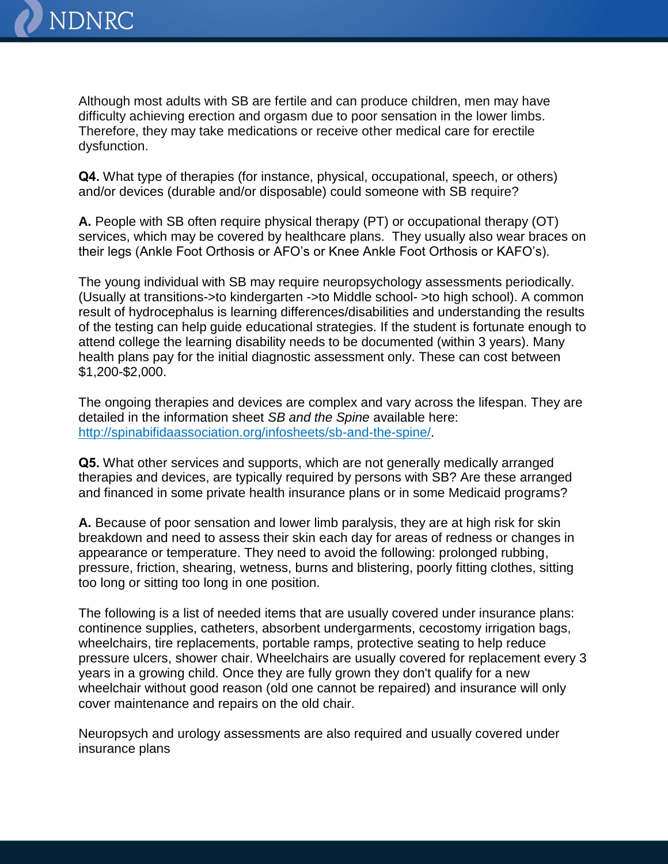

Although most adults with SB are fertile and can produce children, men may have difficulty achieving erection and orgasm due to poor sensation in the lower limbs. Therefore, they may take medications or receive other medical care for erectile dysfunction.

**Q4.** What type of therapies (for instance, physical, occupational, speech, or others) and/or devices (durable and/or disposable) could someone with SB require?

**A.** People with SB often require physical therapy (PT) or occupational therapy (OT) services, which may be covered by healthcare plans. They usually also wear braces on their legs (Ankle Foot Orthosis or AFO's or Knee Ankle Foot Orthosis or KAFO's).

The young individual with SB may require neuropsychology assessments periodically. (Usually at transitions->to kindergarten ->to Middle school- >to high school). A common result of hydrocephalus is learning differences/disabilities and understanding the results of the testing can help guide educational strategies. If the student is fortunate enough to attend college the learning disability needs to be documented (within 3 years). Many health plans pay for the initial diagnostic assessment only. These can cost between \$1,200-\$2,000.

The ongoing therapies and devices are complex and vary across the lifespan. They are detailed in the information sheet *SB and the Spine* available here: <http://spinabifidaassociation.org/infosheets/sb-and-the-spine/>.

**Q5.** What other services and supports, which are not generally medically arranged therapies and devices, are typically required by persons with SB? Are these arranged and financed in some private health insurance plans or in some Medicaid programs?

**A.** Because of poor sensation and lower limb paralysis, they are at high risk for skin breakdown and need to assess their skin each day for areas of redness or changes in appearance or temperature. They need to avoid the following: prolonged rubbing, pressure, friction, shearing, wetness, burns and blistering, poorly fitting clothes, sitting too long or sitting too long in one position.

The following is a list of needed items that are usually covered under insurance plans: continence supplies, catheters, absorbent undergarments, cecostomy irrigation bags, wheelchairs, tire replacements, portable ramps, protective seating to help reduce pressure ulcers, shower chair. Wheelchairs are usually covered for replacement every 3 years in a growing child. Once they are fully grown they don't qualify for a new wheelchair without good reason (old one cannot be repaired) and insurance will only cover maintenance and repairs on the old chair.

Neuropsych and urology assessments are also required and usually covered under insurance plans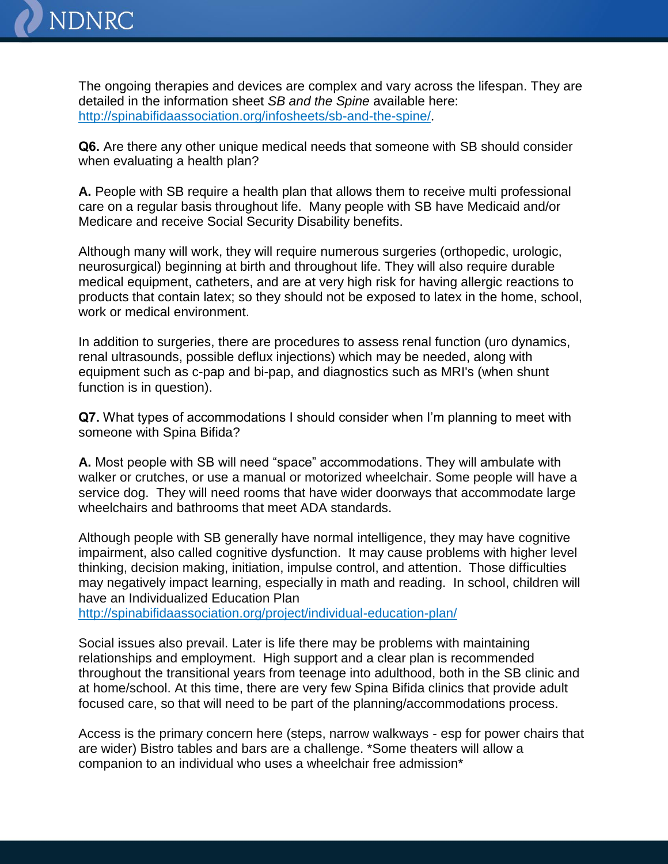

The ongoing therapies and devices are complex and vary across the lifespan. They are detailed in the information sheet *SB and the Spine* available here: <http://spinabifidaassociation.org/infosheets/sb-and-the-spine/>.

**Q6.** Are there any other unique medical needs that someone with SB should consider when evaluating a health plan?

**A.** People with SB require a health plan that allows them to receive multi professional care on a regular basis throughout life. Many people with SB have Medicaid and/or Medicare and receive Social Security Disability benefits.

Although many will work, they will require numerous surgeries (orthopedic, urologic, neurosurgical) beginning at birth and throughout life. They will also require durable medical equipment, catheters, and are at very high risk for having allergic reactions to products that contain latex; so they should not be exposed to latex in the home, school, work or medical environment.

In addition to surgeries, there are procedures to assess renal function (uro dynamics, renal ultrasounds, possible deflux injections) which may be needed, along with equipment such as c-pap and bi-pap, and diagnostics such as MRI's (when shunt function is in question).

**Q7.** What types of accommodations I should consider when I'm planning to meet with someone with Spina Bifida?

**A.** Most people with SB will need "space" accommodations. They will ambulate with walker or crutches, or use a manual or motorized wheelchair. Some people will have a service dog. They will need rooms that have wider doorways that accommodate large wheelchairs and bathrooms that meet ADA standards.

Although people with SB generally have normal intelligence, they may have cognitive impairment, also called cognitive dysfunction. It may cause problems with higher level thinking, decision making, initiation, impulse control, and attention. Those difficulties may negatively impact learning, especially in math and reading. In school, children will have an Individualized Education Plan

<http://spinabifidaassociation.org/project/individual-education-plan/>

Social issues also prevail. Later is life there may be problems with maintaining relationships and employment. High support and a clear plan is recommended throughout the transitional years from teenage into adulthood, both in the SB clinic and at home/school. At this time, there are very few Spina Bifida clinics that provide adult focused care, so that will need to be part of the planning/accommodations process.

Access is the primary concern here (steps, narrow walkways - esp for power chairs that are wider) Bistro tables and bars are a challenge. \*Some theaters will allow a companion to an individual who uses a wheelchair free admission\*